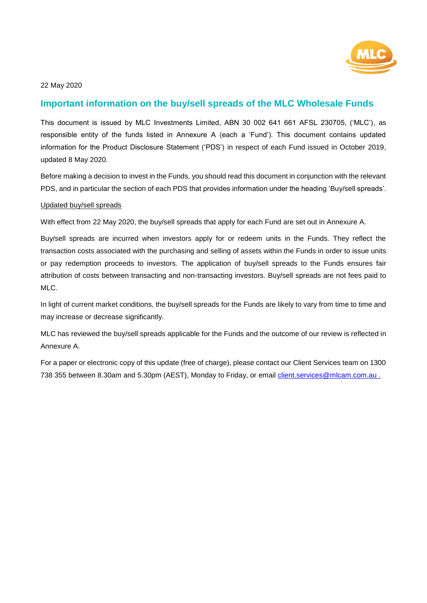

# **Important information on the buy/sell spreads of the MLC Wholesale Funds**

This document is issued by MLC Investments Limited, ABN 30 002 641 661 AFSL 230705, ('MLC'), as responsible entity of the funds listed in Annexure A (each a 'Fund'). This document contains updated information for the Product Disclosure Statement ('PDS') in respect of each Fund issued in October 2019, updated 8 May 2020.

Before making a decision to invest in the Funds, you should read this document in conjunction with the relevant PDS, and in particular the section of each PDS that provides information under the heading 'Buy/sell spreads'.

#### Updated buy/sell spreads

With effect from 22 May 2020, the buy/sell spreads that apply for each Fund are set out in Annexure A.

Buy/sell spreads are incurred when investors apply for or redeem units in the Funds. They reflect the transaction costs associated with the purchasing and selling of assets within the Funds in order to issue units or pay redemption proceeds to investors. The application of buy/sell spreads to the Funds ensures fair attribution of costs between transacting and non-transacting investors. Buy/sell spreads are not fees paid to MLC.

In light of current market conditions, the buy/sell spreads for the Funds are likely to vary from time to time and may increase or decrease significantly.

MLC has reviewed the buy/sell spreads applicable for the Funds and the outcome of our review is reflected in Annexure A.

For a paper or electronic copy of this update (free of charge), please contact our Client Services team on 1300 738 355 between 8.30am and 5.30pm (AEST), Monday to Friday, or email client.services@mlcam.com.au.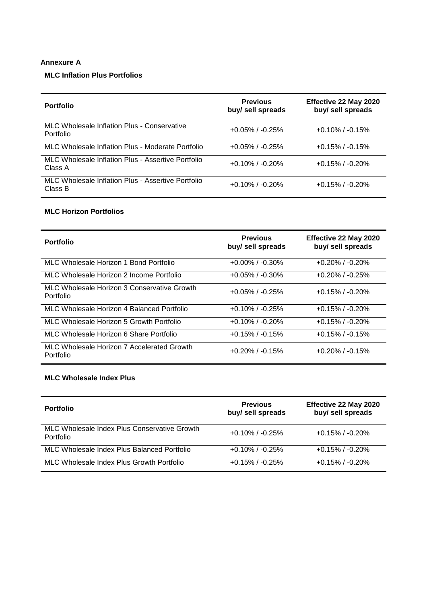### **Annexure A**

# **MLC Inflation Plus Portfolios**

| <b>Portfolio</b>                                              | <b>Previous</b><br>buy/ sell spreads | Effective 22 May 2020<br>buy/ sell spreads |
|---------------------------------------------------------------|--------------------------------------|--------------------------------------------|
| MLC Wholesale Inflation Plus - Conservative<br>Portfolio      | $+0.05\%$ / $-0.25\%$                | $+0.10\%$ / $-0.15\%$                      |
| MLC Wholesale Inflation Plus - Moderate Portfolio             | $+0.05\%$ / $-0.25\%$                | $+0.15\%$ / $-0.15\%$                      |
| MLC Wholesale Inflation Plus - Assertive Portfolio<br>Class A | $+0.10\%$ / $-0.20\%$                | $+0.15\%$ / $-0.20\%$                      |
| MLC Wholesale Inflation Plus - Assertive Portfolio<br>Class B | $+0.10\%$ / $-0.20\%$                | $+0.15\%$ / $-0.20\%$                      |

### **MLC Horizon Portfolios**

| <b>Portfolio</b>                                         | <b>Previous</b><br>buy/ sell spreads | Effective 22 May 2020<br>buy/ sell spreads |
|----------------------------------------------------------|--------------------------------------|--------------------------------------------|
| MLC Wholesale Horizon 1 Bond Portfolio                   | $+0.00\%$ / $-0.30\%$                | $+0.20\%$ / $-0.20\%$                      |
| MLC Wholesale Horizon 2 Income Portfolio                 | $+0.05\%$ / $-0.30\%$                | $+0.20\%$ / $-0.25\%$                      |
| MLC Wholesale Horizon 3 Conservative Growth<br>Portfolio | $+0.05\%$ / $-0.25\%$                | $+0.15\%$ / $-0.20\%$                      |
| MLC Wholesale Horizon 4 Balanced Portfolio               | $+0.10\%$ / $-0.25\%$                | $+0.15\%$ / $-0.20\%$                      |
| MLC Wholesale Horizon 5 Growth Portfolio                 | $+0.10\%$ / $-0.20\%$                | $+0.15\%$ / $-0.20\%$                      |
| MLC Wholesale Horizon 6 Share Portfolio                  | $+0.15\%$ / $-0.15\%$                | $+0.15\%$ / $-0.15\%$                      |
| MLC Wholesale Horizon 7 Accelerated Growth<br>Portfolio  | $+0.20\%$ / $-0.15\%$                | $+0.20\%$ / $-0.15\%$                      |

#### **MLC Wholesale Index Plus**

| <b>Portfolio</b>                                          | <b>Previous</b><br>buy/ sell spreads | Effective 22 May 2020<br>buy/ sell spreads |
|-----------------------------------------------------------|--------------------------------------|--------------------------------------------|
| MLC Wholesale Index Plus Conservative Growth<br>Portfolio | $+0.10\%$ / $-0.25\%$                | $+0.15\%$ / $-0.20\%$                      |
| MLC Wholesale Index Plus Balanced Portfolio               | $+0.10\%$ / $-0.25\%$                | $+0.15\%$ / $-0.20\%$                      |
| MLC Wholesale Index Plus Growth Portfolio                 | $+0.15\%$ / $-0.25\%$                | $+0.15\%$ / $-0.20\%$                      |